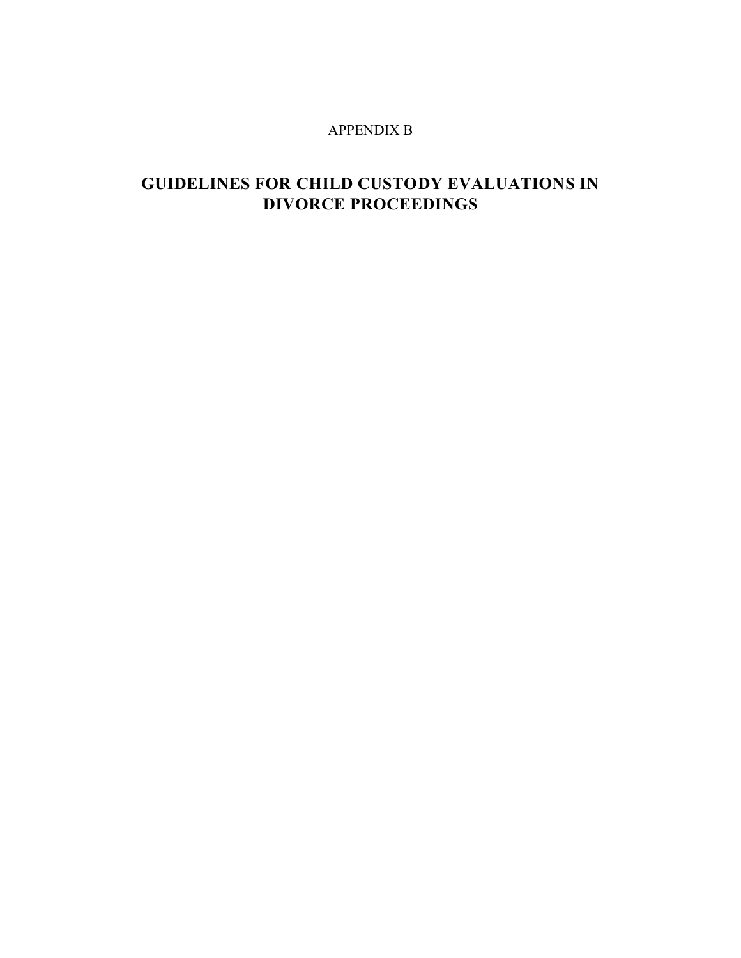# APPENDIX B

# **GUIDELINES FOR CHILD CUSTODY EVALUATIONS IN DIVORCE PROCEEDINGS**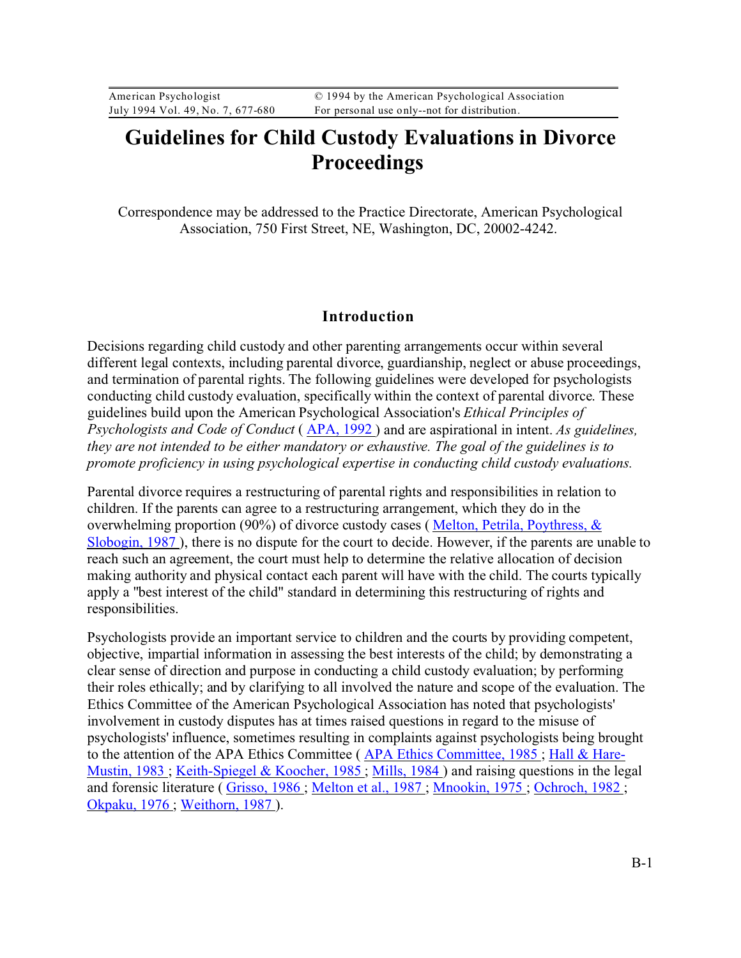# **Guidelines for Child Custody Evaluations in Divorce Proceedings**

Correspondence may be addressed to the Practice Directorate, American Psychological Association, 750 First Street, NE, Washington, DC, 20002-4242.

### **Introduction**

Decisions regarding child custody and other parenting arrangements occur within several different legal contexts, including parental divorce, guardianship, neglect or abuse proceedings, and termination of parental rights. The following guidelines were developed for psychologists conducting child custody evaluation, specifically within the context of parental divorce. These guidelines build upon the American Psychological Association's *Ethical Principles of Psychologists and Code of Conduct* (APA, 1992) and are aspirational in intent. As guidelines, *they are not intended to be either mandatory or exhaustive. The goal of the guidelines is to promote proficiency in using psychological expertise in conducting child custody evaluations.* 

Parental divorce requires a restructuring of parental rights and responsibilities in relation to children. If the parents can agree to a restructuring arrangement, which they do in the overwhelming proportion (90%) of divorce custody cases ( Melton, Petrila, Poythress, & Slobogin, 1987 ), there is no dispute for the court to decide. However, if the parents are unable to reach such an agreement, the court must help to determine the relative allocation of decision making authority and physical contact each parent will have with the child. The courts typically apply a "best interest of the child" standard in determining this restructuring of rights and responsibilities.

Psychologists provide an important service to children and the courts by providing competent, objective, impartial information in assessing the best interests of the child; by demonstrating a clear sense of direction and purpose in conducting a child custody evaluation; by performing their roles ethically; and by clarifying to all involved the nature and scope of the evaluation. The Ethics Committee of the American Psychological Association has noted that psychologists' involvement in custody disputes has at times raised questions in regard to the misuse of psychologists' influence, sometimes resulting in complaints against psychologists being brought to the attention of the APA Ethics Committee (APA Ethics Committee, 1985; Hall & Hare-Mustin, 1983 ; Keith-Spiegel & Koocher, 1985 ; Mills, 1984 ) and raising questions in the legal and forensic literature ( Grisso, 1986 ; Melton et al., 1987 ; Mnookin, 1975 ; Ochroch, 1982 ; Okpaku, 1976 ; Weithorn, 1987 ).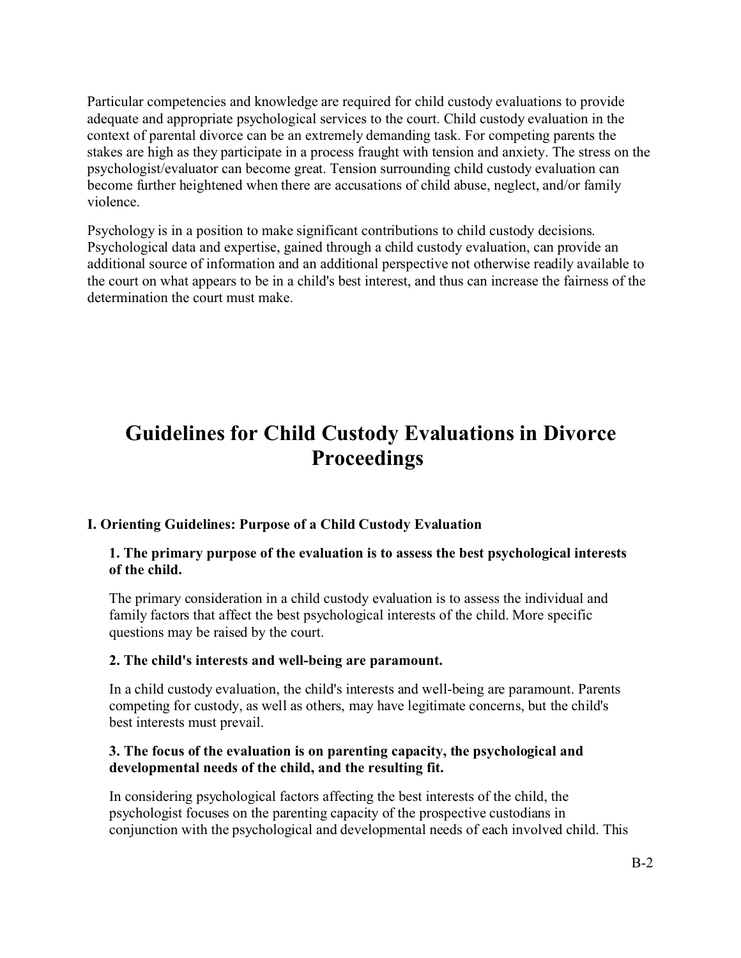Particular competencies and knowledge are required for child custody evaluations to provide adequate and appropriate psychological services to the court. Child custody evaluation in the context of parental divorce can be an extremely demanding task. For competing parents the stakes are high as they participate in a process fraught with tension and anxiety. The stress on the psychologist/evaluator can become great. Tension surrounding child custody evaluation can become further heightened when there are accusations of child abuse, neglect, and/or family violence.

Psychology is in a position to make significant contributions to child custody decisions. Psychological data and expertise, gained through a child custody evaluation, can provide an additional source of information and an additional perspective not otherwise readily available to the court on what appears to be in a child's best interest, and thus can increase the fairness of the determination the court must make.

# **Guidelines for Child Custody Evaluations in Divorce Proceedings**

#### **I. Orienting Guidelines: Purpose of a Child Custody Evaluation**

#### **1. The primary purpose of the evaluation is to assess the best psychological interests of the child.**

The primary consideration in a child custody evaluation is to assess the individual and family factors that affect the best psychological interests of the child. More specific questions may be raised by the court.

#### **2. The child's interests and well-being are paramount.**

In a child custody evaluation, the child's interests and well-being are paramount. Parents competing for custody, as well as others, may have legitimate concerns, but the child's best interests must prevail.

#### **3. The focus of the evaluation is on parenting capacity, the psychological and developmental needs of the child, and the resulting fit.**

In considering psychological factors affecting the best interests of the child, the psychologist focuses on the parenting capacity of the prospective custodians in conjunction with the psychological and developmental needs of each involved child. This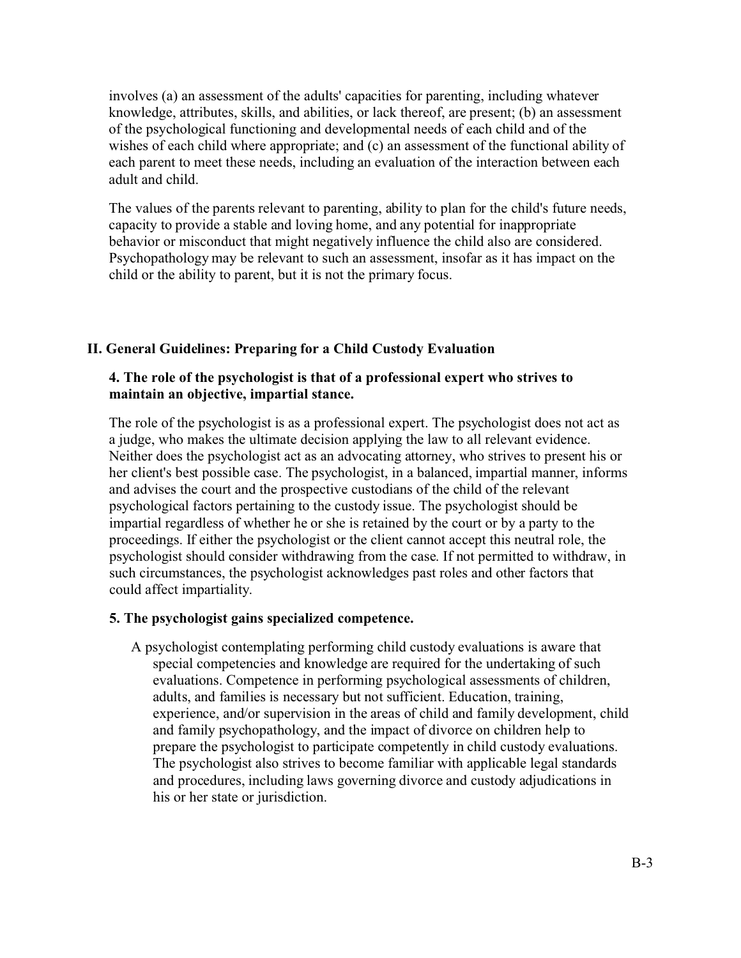involves (a) an assessment of the adults' capacities for parenting, including whatever knowledge, attributes, skills, and abilities, or lack thereof, are present; (b) an assessment of the psychological functioning and developmental needs of each child and of the wishes of each child where appropriate; and (c) an assessment of the functional ability of each parent to meet these needs, including an evaluation of the interaction between each adult and child.

The values of the parents relevant to parenting, ability to plan for the child's future needs, capacity to provide a stable and loving home, and any potential for inappropriate behavior or misconduct that might negatively influence the child also are considered. Psychopathology may be relevant to such an assessment, insofar as it has impact on the child or the ability to parent, but it is not the primary focus.

#### **II. General Guidelines: Preparing for a Child Custody Evaluation**

#### **4. The role of the psychologist is that of a professional expert who strives to maintain an objective, impartial stance.**

The role of the psychologist is as a professional expert. The psychologist does not act as a judge, who makes the ultimate decision applying the law to all relevant evidence. Neither does the psychologist act as an advocating attorney, who strives to present his or her client's best possible case. The psychologist, in a balanced, impartial manner, informs and advises the court and the prospective custodians of the child of the relevant psychological factors pertaining to the custody issue. The psychologist should be impartial regardless of whether he or she is retained by the court or by a party to the proceedings. If either the psychologist or the client cannot accept this neutral role, the psychologist should consider withdrawing from the case. If not permitted to withdraw, in such circumstances, the psychologist acknowledges past roles and other factors that could affect impartiality.

#### **5. The psychologist gains specialized competence.**

A psychologist contemplating performing child custody evaluations is aware that special competencies and knowledge are required for the undertaking of such evaluations. Competence in performing psychological assessments of children, adults, and families is necessary but not sufficient. Education, training, experience, and/or supervision in the areas of child and family development, child and family psychopathology, and the impact of divorce on children help to prepare the psychologist to participate competently in child custody evaluations. The psychologist also strives to become familiar with applicable legal standards and procedures, including laws governing divorce and custody adjudications in his or her state or jurisdiction.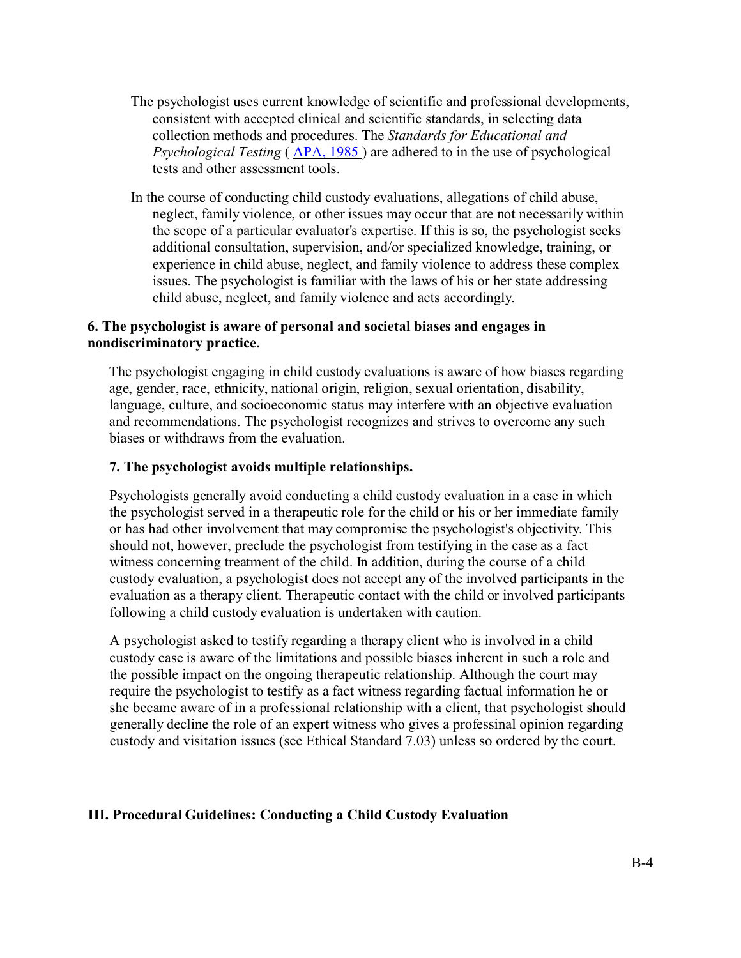- The psychologist uses current knowledge of scientific and professional developments, consistent with accepted clinical and scientific standards, in selecting data collection methods and procedures. The *Standards for Educational and Psychological Testing* ( APA, 1985 ) are adhered to in the use of psychological tests and other assessment tools.
- In the course of conducting child custody evaluations, allegations of child abuse, neglect, family violence, or other issues may occur that are not necessarily within the scope of a particular evaluator's expertise. If this is so, the psychologist seeks additional consultation, supervision, and/or specialized knowledge, training, or experience in child abuse, neglect, and family violence to address these complex issues. The psychologist is familiar with the laws of his or her state addressing child abuse, neglect, and family violence and acts accordingly.

#### **6. The psychologist is aware of personal and societal biases and engages in nondiscriminatory practice.**

The psychologist engaging in child custody evaluations is aware of how biases regarding age, gender, race, ethnicity, national origin, religion, sexual orientation, disability, language, culture, and socioeconomic status may interfere with an objective evaluation and recommendations. The psychologist recognizes and strives to overcome any such biases or withdraws from the evaluation.

#### **7. The psychologist avoids multiple relationships.**

Psychologists generally avoid conducting a child custody evaluation in a case in which the psychologist served in a therapeutic role for the child or his or her immediate family or has had other involvement that may compromise the psychologist's objectivity. This should not, however, preclude the psychologist from testifying in the case as a fact witness concerning treatment of the child. In addition, during the course of a child custody evaluation, a psychologist does not accept any of the involved participants in the evaluation as a therapy client. Therapeutic contact with the child or involved participants following a child custody evaluation is undertaken with caution.

A psychologist asked to testify regarding a therapy client who is involved in a child custody case is aware of the limitations and possible biases inherent in such a role and the possible impact on the ongoing therapeutic relationship. Although the court may require the psychologist to testify as a fact witness regarding factual information he or she became aware of in a professional relationship with a client, that psychologist should generally decline the role of an expert witness who gives a professinal opinion regarding custody and visitation issues (see Ethical Standard 7.03) unless so ordered by the court.

#### **III. Procedural Guidelines: Conducting a Child Custody Evaluation**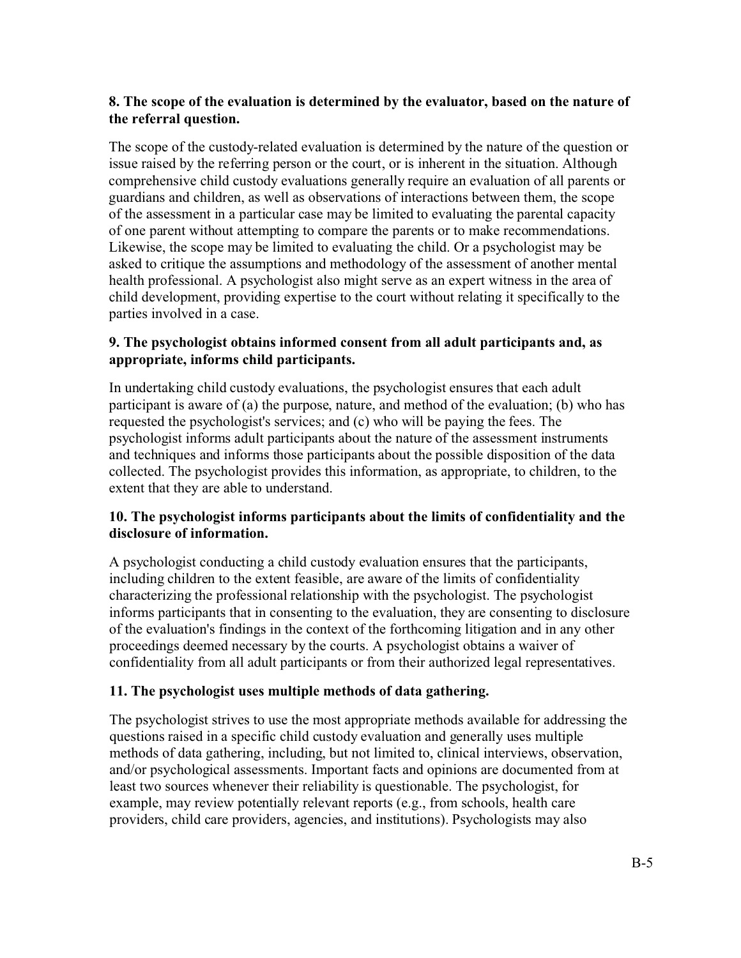### **8. The scope of the evaluation is determined by the evaluator, based on the nature of the referral question.**

The scope of the custody-related evaluation is determined by the nature of the question or issue raised by the referring person or the court, or is inherent in the situation. Although comprehensive child custody evaluations generally require an evaluation of all parents or guardians and children, as well as observations of interactions between them, the scope of the assessment in a particular case may be limited to evaluating the parental capacity of one parent without attempting to compare the parents or to make recommendations. Likewise, the scope may be limited to evaluating the child. Or a psychologist may be asked to critique the assumptions and methodology of the assessment of another mental health professional. A psychologist also might serve as an expert witness in the area of child development, providing expertise to the court without relating it specifically to the parties involved in a case.

#### **9. The psychologist obtains informed consent from all adult participants and, as appropriate, informs child participants.**

In undertaking child custody evaluations, the psychologist ensures that each adult participant is aware of (a) the purpose, nature, and method of the evaluation; (b) who has requested the psychologist's services; and (c) who will be paying the fees. The psychologist informs adult participants about the nature of the assessment instruments and techniques and informs those participants about the possible disposition of the data collected. The psychologist provides this information, as appropriate, to children, to the extent that they are able to understand.

#### **10. The psychologist informs participants about the limits of confidentiality and the disclosure of information.**

A psychologist conducting a child custody evaluation ensures that the participants, including children to the extent feasible, are aware of the limits of confidentiality characterizing the professional relationship with the psychologist. The psychologist informs participants that in consenting to the evaluation, they are consenting to disclosure of the evaluation's findings in the context of the forthcoming litigation and in any other proceedings deemed necessary by the courts. A psychologist obtains a waiver of confidentiality from all adult participants or from their authorized legal representatives.

#### **11. The psychologist uses multiple methods of data gathering.**

The psychologist strives to use the most appropriate methods available for addressing the questions raised in a specific child custody evaluation and generally uses multiple methods of data gathering, including, but not limited to, clinical interviews, observation, and/or psychological assessments. Important facts and opinions are documented from at least two sources whenever their reliability is questionable. The psychologist, for example, may review potentially relevant reports (e.g., from schools, health care providers, child care providers, agencies, and institutions). Psychologists may also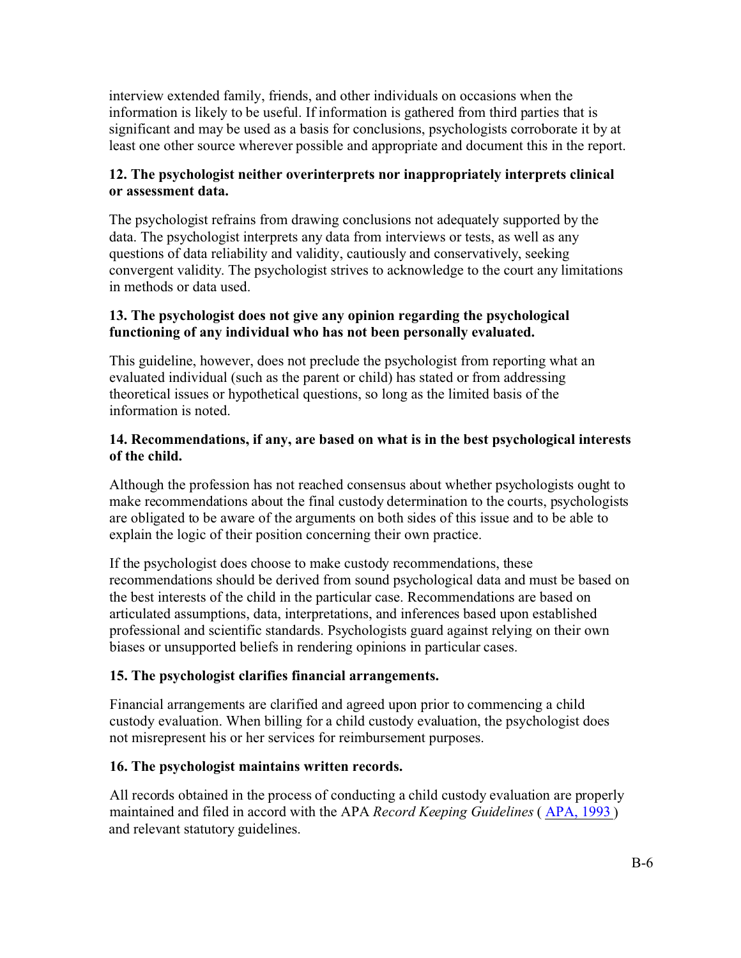interview extended family, friends, and other individuals on occasions when the information is likely to be useful. If information is gathered from third parties that is significant and may be used as a basis for conclusions, psychologists corroborate it by at least one other source wherever possible and appropriate and document this in the report.

#### **12. The psychologist neither overinterprets nor inappropriately interprets clinical or assessment data.**

The psychologist refrains from drawing conclusions not adequately supported by the data. The psychologist interprets any data from interviews or tests, as well as any questions of data reliability and validity, cautiously and conservatively, seeking convergent validity. The psychologist strives to acknowledge to the court any limitations in methods or data used.

#### **13. The psychologist does not give any opinion regarding the psychological functioning of any individual who has not been personally evaluated.**

This guideline, however, does not preclude the psychologist from reporting what an evaluated individual (such as the parent or child) has stated or from addressing theoretical issues or hypothetical questions, so long as the limited basis of the information is noted.

#### **14. Recommendations, if any, are based on what is in the best psychological interests of the child.**

Although the profession has not reached consensus about whether psychologists ought to make recommendations about the final custody determination to the courts, psychologists are obligated to be aware of the arguments on both sides of this issue and to be able to explain the logic of their position concerning their own practice.

If the psychologist does choose to make custody recommendations, these recommendations should be derived from sound psychological data and must be based on the best interests of the child in the particular case. Recommendations are based on articulated assumptions, data, interpretations, and inferences based upon established professional and scientific standards. Psychologists guard against relying on their own biases or unsupported beliefs in rendering opinions in particular cases.

## **15. The psychologist clarifies financial arrangements.**

Financial arrangements are clarified and agreed upon prior to commencing a child custody evaluation. When billing for a child custody evaluation, the psychologist does not misrepresent his or her services for reimbursement purposes.

#### **16. The psychologist maintains written records.**

All records obtained in the process of conducting a child custody evaluation are properly maintained and filed in accord with the APA *Record Keeping Guidelines* ( APA, 1993 ) and relevant statutory guidelines.